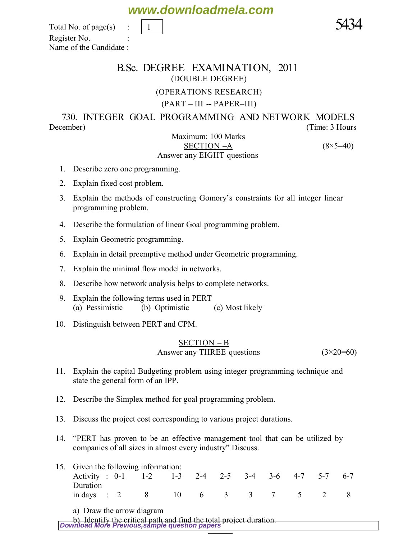**www.downloadmela.com**

Total No. of page(s)  $\boxed{1}$  5434 Register No. : Name of the Candidate :

## B.Sc. DEGREE EXAMINATION, 2011 (DOUBLE DEGREE)

## (OPERATIONS RESEARCH)

## $(PART - III - PAPER - III)$

730. INTEGER GOAL PROGRAMMING AND NETWORK MODELS *December*) (*Time: 3 Hours*

Maximum: 100 Marks SECTION –A *(8×5=40) Answer any EIGHT questions*

- 1. Describe zero one programming.
- 2. Explain fixed cost problem.
- 3. Explain the methods of constructing Gomory's constraints for all integer linear programming problem.
- 4. Describe the formulation of linear Goal programming problem.
- 5. Explain Geometric programming.
- 6. Explain in detail preemptive method under Geometric programming.
- 7. Explain the minimal flow model in networks.

1

- 8. Describe how network analysis helps to complete networks.
- 9. Explain the following terms used in PERT (a) Pessimistic (b) Optimistic (c) Most likely
- 10. Distinguish between PERT and CPM.

$$
\frac{\text{SECTION} - \text{B}}{\text{Answer any THREE questions}} \tag{3 \times 20 = 60}
$$

- 11. Explain the capital Budgeting problem using integer programming technique and state the general form of an IPP.
- 12. Describe the Simplex method for goal programming problem.
- 13. Discuss the project cost corresponding to various project durations.
- 14. "PERT has proven to be an effective management tool that can be utilized by companies of all sizes in almost every industry" Discuss.
- 15. Given the following information: Activity : 0-1 1-2 1-3 2-4 2-5 3-4 3-6 4-7 5-7 6-7 Duration in days : 2 8 10 6 3 3 7 5 2 8
	- a) Draw the arrow diagram

**[Download More Previous,sample question papers](http://downloadmela.com/pages/previouspapers/previouspapers.html)** b) Identify the critical path and find the total project duration.  $\frac{1}{2}$